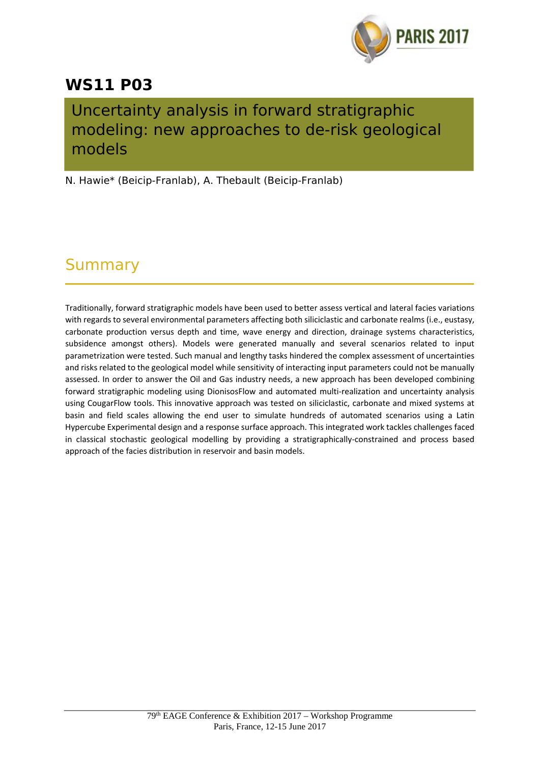

## **WS11 P03**

## Uncertainty analysis in forward stratigraphic modeling: new approaches to de-risk geological models

N. Hawie\* (Beicip-Franlab), A. Thebault (Beicip-Franlab)

## Summary

Traditionally, forward stratigraphic models have been used to better assess vertical and lateral facies variations with regards to several environmental parameters affecting both siliciclastic and carbonate realms (i.e., eustasy, carbonate production versus depth and time, wave energy and direction, drainage systems characteristics, subsidence amongst others). Models were generated manually and several scenarios related to input parametrization were tested. Such manual and lengthy tasks hindered the complex assessment of uncertainties and risks related to the geological model while sensitivity of interacting input parameters could not be manually assessed. In order to answer the Oil and Gas industry needs, a new approach has been developed combining forward stratigraphic modeling using DionisosFlow and automated multi-realization and uncertainty analysis using CougarFlow tools. This innovative approach was tested on siliciclastic, carbonate and mixed systems at basin and field scales allowing the end user to simulate hundreds of automated scenarios using a Latin Hypercube Experimental design and a response surface approach. This integrated work tackles challenges faced in classical stochastic geological modelling by providing a stratigraphically‐constrained and process based approach of the facies distribution in reservoir and basin models.